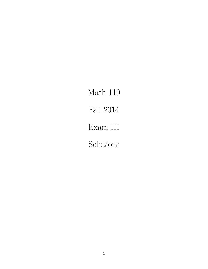Math 110 Fall 2014 Exam III Solutions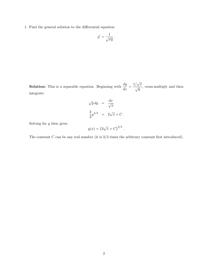1. Find the general solution to the differential equation

$$
y' = \frac{1}{\sqrt{xy}} \, .
$$

**Solution:** This is a separable equation. Beginning with  $\frac{dy}{dx} = \frac{1/\sqrt{x}}{\sqrt{y}}$ , cross-multiply and then integrate:

$$
\sqrt{y} dy = \frac{dx}{\sqrt{x}}
$$

$$
\frac{2}{3}y^{3/2} = 2\sqrt{x} + C.
$$

Solving for  $y$  then gives

$$
y(x) = (3\sqrt{x} + C)^{2/3}
$$
.

The constant  $C$  can be any real number (it is  $3/2$  times the arbitrary constant first introduced).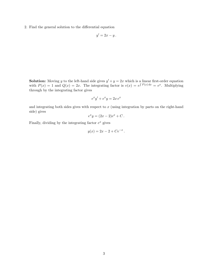2. Find the general solution to the differential equation

$$
y'=2x-y.
$$

**Solution:** Moving y to the left-hand side gives  $y' + y = 2x$  which is a linear first-order equation with  $P(x) = 1$  and  $Q(x) = 2x$ . The integrating factor is  $v(x) = e^{\int P(x) dx} = e^x$ . Multiplying through by the integrating factor gives

$$
e^x y' + e^x y = 2x e^x
$$

and integrating both sides gives with respect to  $x$  (using integration by parts on the right-hand side) gives

$$
e^x y = (2x - 2)e^x + C.
$$

Finally, dividing by the integrating factor  $e^x$  gives

$$
y(x) = 2x - 2 + Ce^{-x}.
$$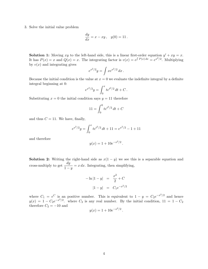3. Solve the initial value problem

$$
\frac{dy}{dx} = x - xy, \quad y(0) = 11.
$$

**Solution 1:** Moving xy to the left-hand side, this is a linear first-order equation  $y' + xy = x$ . It has  $P(x) = x$  and  $Q(x) = x$ . The integrating factor is  $v(x) = e^{\int P(x) dx} = e^{x^2/2}$ . Multiplying by  $v(x)$  and integrating gives

$$
e^{x^2/2}y = \int xe^{x^2/2} dx.
$$

Because the initial condition is the value at  $x = 0$  we evaluate the indefinite integral by a definite integral beginning at 0:

$$
e^{x^2/2}y = \int_0^x t e^{t^2/2} dt + C.
$$

Substituting  $x = 0$  the initial condition says  $y = 11$  therefore

$$
11 = \int_0^0 t e^{t^2/2} dt + C
$$

and thus  $C = 11$ . We have, finally,

$$
e^{x^2/2}y = \int_0^x t e^{t^2/2} dt + 11 = e^{x^2/2} - 1 + 11
$$

and therefore

$$
y(x) = 1 + 10e^{-x^2/2}.
$$

**Solution 2:** Writing the right-hand side as  $x(1 - y)$  we see this is a separable equation and cross-multiply to get  $\frac{dy}{1-y} = x dx$ . Integrating, then simplifying,

$$
-\ln|1-y| = \frac{x^2}{2} + C
$$

$$
|1-y| = C_1 e^{-x^2/2}
$$

where  $C_1 = e^C$  is an positive number. This is equivalent to  $1 - y = C_2 e^{-x^2/2}$  and hence  $y(x) = 1 - C_2 e^{-x^2/2}$ . where  $C_2$  is any real number. By the initial condition,  $11 = 1 - C_2$ therefore  $C_2 = -10$  and

$$
y(x) = 1 + 10e^{-x^2/2}.
$$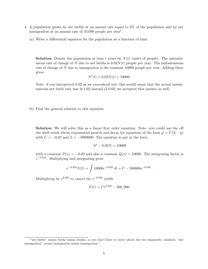- 4. A population grows by net births at an annual rate equal to 2% of the population and by net immigration at an annual rate of  $10,000$  people per year<sup>1</sup>.
	- (a) Write a differential equation for the population as a function of time.

**Solution:** Denote the population at time t years by  $N(t)$  (units of people). The instantaneous rate of change of N due to net births is  $0.02N(t)$  people per year. The instantaneous rate of change of N due to immigration is the constant 10000 people per year. Adding these gives

$$
N'(t) = 0.02N(t) + 10000.
$$

Note: if you interpreted 0.02 as an annualized rate, this would mean that the actual instantaneous net birth rate was ln 1.02 instead of 0.02; we accepted that answer as well.

(b) Find the general solution to this equation.

Solution: We will solve this as a linear first order equation. Note: you could use the off the shelf result about exponential growth and decay for equations of the form  $y' = C(L - y)$ with  $C = -0.02$  and  $L = -5000000$ . The equation is put in the form

$$
N' - 0.02N = 10000
$$

with a constant  $P(x) = -0.02$  and also a constant  $Q(x) = 10000$ . The integrating factor is  $e^{-0.02x}$ . Multiplying and integrating gives

$$
e^{-0.02t}N(t) = \int 10000e^{-0.02t} dt = C - 500000e^{-0.02t}.
$$

Multiplying by  $e^{0.02t}$  to cancel the  $e^{-0.02t}$  yields

$$
N(t) = Ce^{0.02t} - 500,000.
$$

<sup>&</sup>lt;sup>1</sup> "net births" means births minus deaths, so you don't have to worry about the two separately; similarly, "net immigration" means immigration minus emmigration."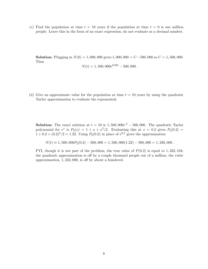(c) Find the population at time  $t = 10$  years if the population at time  $t = 0$  is one million people. Leave this in the form of an exact expression; do not evaluate as a decimal number.

**Solution:** Plugging in  $N(0) = 1,000,000$  gives  $1,000,000 = C - 500,000$  so  $C = 1,500,000$ . Thus

$$
N(t) = 1,500,000e^{0.02t} - 500,000.
$$

(d) Give an approximate value for the population at time  $t = 10$  years by using the quadratic Taylor approximation to evaluate the exponential.

**Solution:** The exact solution at  $t = 10$  is  $1,500,000e^{2} - 500,000$ . The quadratic Taylor polynomial for  $e^x$  is  $P_2(x) = 1 + x + x^2/2$ . Evaluating this at  $x = 0.2$  gives  $P_2(0.2) =$  $1 + 0.2 + (0.2)^2/2 = 1.22$ . Using  $P_2(0.2)$  in place of  $e^{0.2}$  gives the approximation

 $N(t) \approx 1,500,000 P_2(0.2) - 500,000 = 1,500,000(1.22) - 500,000 = 1,330,000$ .

FYI, though it is not part of the problem, the true value of  $P(0.2)$  is equal to 1, 332, 104; the quadratic approximation is off by a couple thousand people out of a million; the cubic approximation, 1, 332, 000, is off by about a hundered.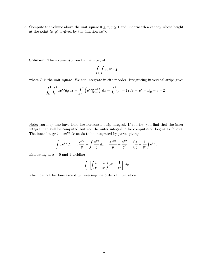5. Compute the volume above the unit square  $0 \le x, y \le 1$  and underneath a canopy whose height at the point  $(x, y)$  is given by the function  $xe^{xy}$ .

Solution: The volume is given by the integral

$$
\int_R \int x e^{xy} dA
$$

where  $R$  is the unit square. We can integrate in either order. Integrating in vertical strips gives

$$
\int_0^1 \int_0^1 xe^{xy} dy dx = \int_0^1 \left( e^{xy} \big|_{y=0}^{y=1} \right) dx = \int_0^1 (e^x - 1) dx = e^x - x \big|_0^1 = e - 2.
$$

Note: you may also have tried the horizontal strip integral. If you try, you find that the inner integral can still be computed but not the outer integral. The computation begins as follows. The inner integral  $\int xe^{xy} dx$  needs to be integrated by parts, giving

$$
\int xe^{xy} dx = x \frac{e^{xy}}{y} - \int \frac{e^{xy}}{y} dx = \frac{xe^{xy}}{y} - \frac{e^{xy}}{y^2} = \left(\frac{x}{y} - \frac{1}{y^2}\right) e^{xy}.
$$

Evaluating at  $x - 0$  and 1 yielding

$$
\int_0^1 \left[ \left( \frac{1}{y} - \frac{1}{y^2} \right) e^y - \frac{1}{y^2} \right] dy
$$

which cannot be done except by reversing the order of integration.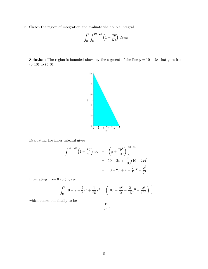6. Sketch the region of integration and evaluate the double integral.

$$
\int_0^5 \int_0^{10-2x} \left(1 + \frac{xy}{50}\right) \, dy \, dx
$$

**Solution:** The region is bounded above by the segment of the line  $y = 10 - 2x$  that goes from  $(0, 10)$  to  $(5, 0)$ .



Evaluating the inner integral gives

$$
\int_0^{10-2x} \left(1 + \frac{xy}{50}\right) dy = \left(y + \frac{xy^2}{100}\right)\Big|_0^{10-2x}
$$
  
=  $10 - 2x + \frac{x}{100}(10 - 2x)^2$   
=  $10 - 2x + x - \frac{2}{5}x^2 + \frac{x^3}{25}$ 

Integrating from 0 to 5 gives

$$
\int_0^5 10 - x - \frac{2}{5}x^2 + \frac{1}{25}x^3 = \left(10x - \frac{x^2}{2} - \frac{2}{15}x^3 + \frac{x^4}{100}\right)\Big|_0^5
$$

which comes out finally to be

$$
\frac{312}{25}
$$

.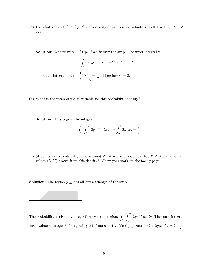7. (a) For what value of C is  $Cye^{-x}$  a probability density on the infinite strip  $0 \le y \le 1, 0 \le x$ ∞?

**Solution:** We integrate  $\int \int Cye^{-x} dx dy$  over the strip. The inner integral is

$$
\int_0^\infty Cye^{-x} dx = -Cye^{-x}\Big|_0^\infty = Cy.
$$
  
The outer integral is then 
$$
\frac{1}{2}Cy^2\Big|_0^1 = \frac{C}{2}.
$$
 Therefore  $C = 2$ .

(b) What is the mean of the Y variable for this probability density?

Solution: This is given by integrating

$$
\int_0^1 \int_0^\infty 2y^2 e^{-x} dx dy = \int_0^1 2y^2 dy = \frac{2}{3}.
$$

(c) (4 points extra credit, if you have time) What is the probability that  $Y \leq X$  for a pair of values  $(X, Y)$  drawn from this density? (Show your work on the facing page)

**Solution:** The region  $y \leq x$  is all but a triangle of the strip:



The probability is given by integrating over this region:  $\int_1^1$ 0  $\int^{\infty}$  $\overline{y}$  $2ye^{-x} dx dy$ . The inner integral now evaluates to  $2ye^{-y}$ . Integrating this from 0 to 1 yields (by parts):  $-(2+2y)e^{-y}$ 1  $\frac{1}{0} = 2 - \frac{4}{e}$  $\frac{1}{e}$ .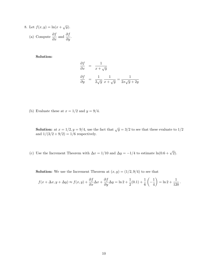8. Let 
$$
f(x, y) = \ln(x + \sqrt{y})
$$
.  
\n(a) Compute  $\frac{\partial f}{\partial x}$  and  $\frac{\partial f}{\partial y}$ .

Solution:

$$
\frac{\partial f}{\partial x} = \frac{1}{x + \sqrt{y}}
$$
  

$$
\frac{\partial f}{\partial y} = \frac{1}{2\sqrt{y}} \frac{1}{x + \sqrt{y}} = \frac{1}{2x\sqrt{y} + 2y}
$$

(b) Evaluate these at  $x=1/2$  and  $y=9/4.$ 

**Solution:** at  $x = 1/2, y = 9/4$ , use the fact that  $\sqrt{y} = 3/2$  to see that these evaluate to  $1/2$ and  $1/(3/2 + 9/2) = 1/6$  respectively.

(c) Use the Increment Theorem with  $\Delta x = 1/10$  and  $\Delta y = -1/4$  to estimate  $\ln(0.6 + \sqrt{2})$ .

**Solution:** We use the Increment Theorem at  $(x, y) = (1/2, 9/4)$  to see that

$$
f(x + \Delta x, y + \Delta y) \approx f(x, y) + \frac{\partial f}{\partial x} \Delta x + \frac{\partial f}{\partial y} \Delta y = \ln 2 + \frac{1}{2}(0.1) + \frac{1}{6} \left(-\frac{1}{4}\right) = \ln 2 + \frac{1}{120}.
$$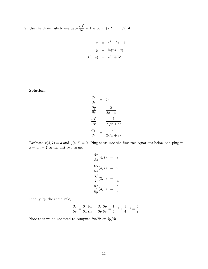9. Use the chain rule to evaluate  $\frac{\partial f}{\partial s}$  at the point  $(s, t) = (4, 7)$  if:

$$
x = s2 - 2t + 1
$$

$$
y = \ln(2s - t)
$$

$$
f(x, y) = \sqrt{x + ey}
$$

Solution:

$$
\frac{\partial x}{\partial s} = 2s
$$
  

$$
\frac{\partial y}{\partial s} = \frac{2}{2s - t}
$$
  

$$
\frac{\partial f}{\partial x} = \frac{1}{2\sqrt{x + e^y}}
$$
  

$$
\frac{\partial f}{\partial y} = \frac{e^y}{2\sqrt{x + e^y}}
$$

Evaluate  $x(4, 7) = 3$  and  $y(4, 7) = 0$ . Plug these into the first two equations below and plug in  $s=4,t=7$  to the last two to get

$$
\frac{\partial x}{\partial s}(4,7) = 8
$$
  

$$
\frac{\partial y}{\partial s}(4,7) = 2
$$
  

$$
\frac{\partial f}{\partial x}(3,0) = \frac{1}{4}
$$
  

$$
\frac{\partial f}{\partial y}(3,0) = \frac{1}{4}
$$

Finally, by the chain rule,

$$
\frac{\partial f}{\partial s} = \frac{\partial f}{\partial x}\frac{\partial x}{\partial s} + \frac{\partial f}{\partial y}\frac{\partial y}{\partial s} = \frac{1}{4} \cdot 8 + \frac{1}{4} \cdot 2 = \frac{5}{2}.
$$

Note that we do not need to compute  $\partial x/\partial t$  or  $\partial y/\partial t.$